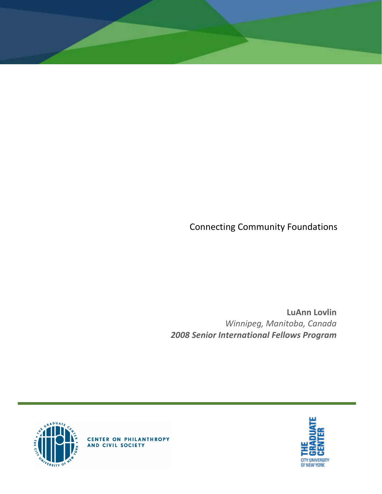Connecting Community Foundations

**LuAnn Lovlin** *Winnipeg, Manitoba, Canada 2008 Senior International Fellows Program*





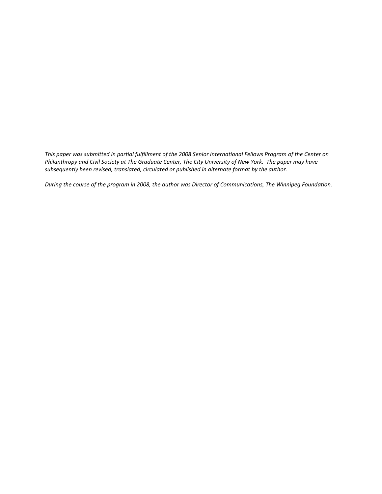*This paper was submitted in partial fulfillment of the 2008 Senior International Fellows Program of the Center on Philanthropy and Civil Society at The Graduate Center, The City University of New York. The paper may have subsequently been revised, translated, circulated or published in alternate format by the author.*

*During the course of the program in 2008, the author was Director of Communications, The Winnipeg Foundation.*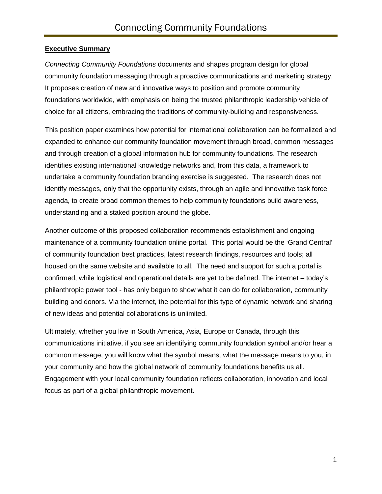### **Executive Summary**

*Connecting Community Foundations* documents and shapes program design for global community foundation messaging through a proactive communications and marketing strategy. It proposes creation of new and innovative ways to position and promote community foundations worldwide, with emphasis on being the trusted philanthropic leadership vehicle of choice for all citizens, embracing the traditions of community-building and responsiveness.

This position paper examines how potential for international collaboration can be formalized and expanded to enhance our community foundation movement through broad, common messages and through creation of a global information hub for community foundations. The research identifies existing international knowledge networks and, from this data, a framework to undertake a community foundation branding exercise is suggested. The research does not identify messages, only that the opportunity exists, through an agile and innovative task force agenda, to create broad common themes to help community foundations build awareness, understanding and a staked position around the globe.

Another outcome of this proposed collaboration recommends establishment and ongoing maintenance of a community foundation online portal. This portal would be the 'Grand Central' of community foundation best practices, latest research findings, resources and tools; all housed on the same website and available to all. The need and support for such a portal is confirmed, while logistical and operational details are yet to be defined. The internet – today's philanthropic power tool - has only begun to show what it can do for collaboration, community building and donors. Via the internet, the potential for this type of dynamic network and sharing of new ideas and potential collaborations is unlimited.

Ultimately, whether you live in South America, Asia, Europe or Canada, through this communications initiative, if you see an identifying community foundation symbol and/or hear a common message, you will know what the symbol means, what the message means to you, in your community and how the global network of community foundations benefits us all. Engagement with your local community foundation reflects collaboration, innovation and local focus as part of a global philanthropic movement.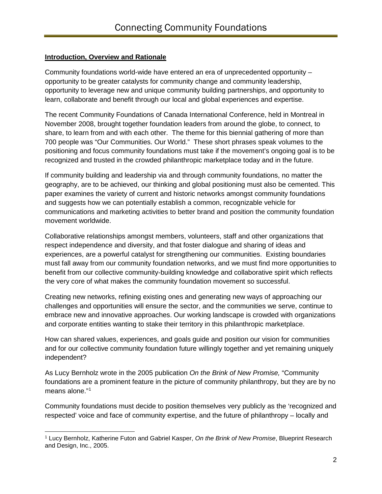### **Introduction, Overview and Rationale**

Community foundations world-wide have entered an era of unprecedented opportunity – opportunity to be greater catalysts for community change and community leadership, opportunity to leverage new and unique community building partnerships, and opportunity to learn, collaborate and benefit through our local and global experiences and expertise.

The recent Community Foundations of Canada International Conference, held in Montreal in November 2008, brought together foundation leaders from around the globe, to connect, to share, to learn from and with each other. The theme for this biennial gathering of more than 700 people was "Our Communities. Our World." These short phrases speak volumes to the positioning and focus community foundations must take if the movement's ongoing goal is to be recognized and trusted in the crowded philanthropic marketplace today and in the future.

If community building and leadership via and through community foundations, no matter the geography, are to be achieved, our thinking and global positioning must also be cemented. This paper examines the variety of current and historic networks amongst community foundations and suggests how we can potentially establish a common, recognizable vehicle for communications and marketing activities to better brand and position the community foundation movement worldwide.

Collaborative relationships amongst members, volunteers, staff and other organizations that respect independence and diversity, and that foster dialogue and sharing of ideas and experiences, are a powerful catalyst for strengthening our communities. Existing boundaries must fall away from our community foundation networks, and we must find more opportunities to benefit from our collective community-building knowledge and collaborative spirit which reflects the very core of what makes the community foundation movement so successful.

Creating new networks, refining existing ones and generating new ways of approaching our challenges and opportunities will ensure the sector, and the communities we serve, continue to embrace new and innovative approaches. Our working landscape is crowded with organizations and corporate entities wanting to stake their territory in this philanthropic marketplace.

How can shared values, experiences, and goals guide and position our vision for communities and for our collective community foundation future willingly together and yet remaining uniquely independent?

As Lucy Bernholz wrote in the 2005 publication *On the Brink of New Promise,* "Community foundations are a prominent feature in the picture of community philanthropy, but they are by no means alone."[1](#page-3-0)

Community foundations must decide to position themselves very publicly as the 'recognized and respected' voice and face of community expertise, and the future of philanthropy – locally and

<span id="page-3-0"></span><sup>1</sup> Lucy Bernholz, Katherine Futon and Gabriel Kasper, *On the Brink of New Promise*, Blueprint Research and Design, Inc., 2005.  $\overline{a}$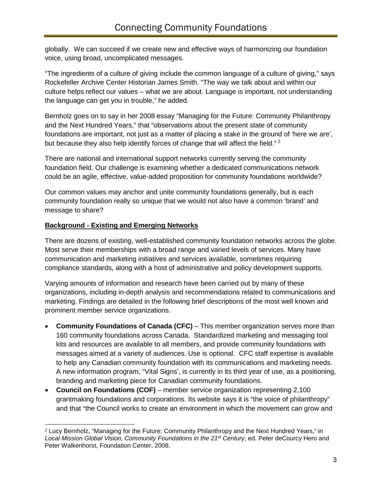globally. We can succeed if we create new and effective ways of harmonizing our foundation voice, using broad, uncomplicated messages.

"The ingredients of a culture of giving include the common language of a culture of giving," says Rockefeller Archive Center Historian James Smith. "The way we talk about and within our culture helps reflect our values – what we are about. Language is important, not understanding the language can get you in trouble," he added.

Bernholz goes on to say in her 2008 essay "Managing for the Future: Community Philanthropy and the Next Hundred Years," that "observations about the present state of community foundations are important, not just as a matter of placing a stake in the ground of 'here we are', but because they also help identify forces of change that will affect the field."<sup>[2](#page-4-0)</sup>

There are national and international support networks currently serving the community foundation field. Our challenge is examining whether a dedicated communications network could be an agile, effective, value-added proposition for community foundations worldwide?

Our common values may anchor and unite community foundations generally, but is each community foundation really so unique that we would not also have a common 'brand' and message to share?

### **Background - Existing and Emerging Networks**

There are dozens of existing, well-established community foundation networks across the globe. Most serve their memberships with a broad range and varied levels of services. Many have communication and marketing initiatives and services available, sometimes requiring compliance standards, along with a host of administrative and policy development supports.

Varying amounts of information and research have been carried out by many of these organizations, including in-depth analysis and recommendations related to communications and marketing. Findings are detailed in the following brief descriptions of the most well known and prominent member service organizations.

- **Community Foundations of Canada (CFC)** This member organization serves more than 160 community foundations across Canada. Standardized marketing and messaging tool kits and resources are available to all members, and provide community foundations with messages aimed at a variety of audiences. Use is optional. CFC staff expertise is available to help any Canadian community foundation with its communications and marketing needs. A new information program, "Vital Signs', is currently in its third year of use, as a positioning, branding and marketing piece for Canadian community foundations.
- **Council on Foundations (COF)**  member service organization representing 2,100 grantmaking foundations and corporations. Its website says it is "the voice of philanthropy" and that "the Council works to create an environment in which the movement can grow and

<span id="page-4-0"></span><sup>2</sup> Lucy Bernholz, "Managing for the Future: Community Philanthropy and the Next Hundred Years," in *Local Mission Global Vision, Community Foundations in the 21st Century*, ed. Peter deCourcy Hero and Peter Walkenhorst, Foundation Center, 2008.  $\overline{a}$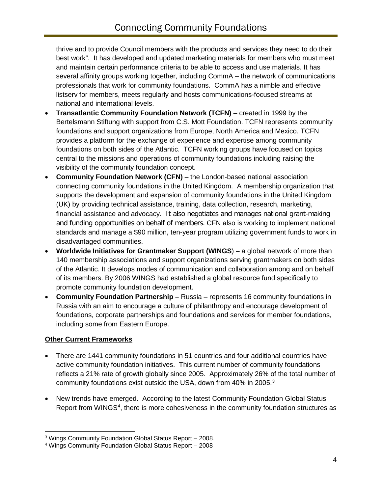thrive and to provide Council members with the products and services they need to do their best work". It has developed and updated marketing materials for members who must meet and maintain certain performance criteria to be able to access and use materials. It has several affinity groups working together, including CommA – the network of communications professionals that work for community foundations. CommA has a nimble and effective listserv for members, meets regularly and hosts communications-focused streams at national and international levels.

- **Transatlantic Community Foundation Network (TCFN)** created in 1999 by the [Bertelsmann Stiftung](http://www.bertelsmann-stiftung.de/) with support from [C.S. Mott Foundation.](http://www.mott.org/) TCFN represents community foundations and support organizations from Europe, North America and Mexico. TCFN provides a platform for the exchange of experience and expertise among community foundations on both sides of the Atlantic.TCFN working groups have focused on topics central to the missions and operations of community foundations including raising the visibility of the community foundation concept.
- **Community Foundation Network (CFN)** the London-based national association connecting community foundations in the United Kingdom. A membership organization that supports the development and expansion of community foundations in the United Kingdom (UK) by providing technical assistance, training, data collection, research, marketing, financial assistance and advocacy. It also negotiates and manages national grant-making and funding opportunities on behalf of members. CFN also is working to implement national standards and manage a \$90 million, ten-year program utilizing government funds to work in disadvantaged communities.
- **Worldwide Initiatives for Grantmaker Support (WINGS**) a global network of more than 140 membership associations and support organizations serving grantmakers on both sides of the Atlantic. It develops modes of communication and collaboration among and on behalf of its members. By 2006 WINGS had established a global resource fund specifically to promote community foundation development.
- **Community Foundation Partnership –** Russia represents 16 community foundations in Russia with an aim to encourage a culture of philanthropy and encourage development of foundations, corporate partnerships and foundations and services for member foundations, including some from Eastern Europe.

# **Other Current Frameworks**

- There are 1441 community foundations in 51 countries and four additional countries have active community foundation initiatives. This current number of community foundations reflects a 21% rate of growth globally since 2005. Approximately 26% of the total number of community foundations exist outside the USA, down from 40% in 2005.<sup>[3](#page-5-0)</sup>
- New trends have emerged. According to the latest Community Foundation Global Status Report from WINGS<sup>[4](#page-5-1)</sup>, there is more cohesiveness in the community foundation structures as

<span id="page-5-0"></span><sup>3</sup> Wings Community Foundation Global Status Report – 2008.  $\overline{a}$ 

<span id="page-5-1"></span><sup>4</sup> Wings Community Foundation Global Status Report – 2008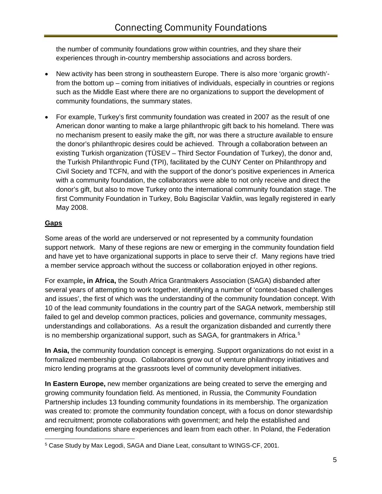the number of community foundations grow within countries, and they share their experiences through in-country membership associations and across borders.

- New activity has been strong in southeastern Europe. There is also more 'organic growth' from the bottom up – coming from initiatives of individuals, especially in countries or regions such as the Middle East where there are no organizations to support the development of community foundations, the summary states.
- For example, Turkey's first community foundation was created in 2007 as the result of one American donor wanting to make a large philanthropic gift back to his homeland. There was no mechanism present to easily make the gift, nor was there a structure available to ensure the donor's philanthropic desires could be achieved. Through a collaboration between an existing Turkish organization (TÜSEV – Third Sector Foundation of Turkey), the donor and, the Turkish Philanthropic Fund (TPI), facilitated by the CUNY Center on Philanthropy and Civil Society and TCFN, and with the support of the donor's positive experiences in America with a community foundation, the collaborators were able to not only receive and direct the donor's gift, but also to move Turkey onto the international community foundation stage. The first Community Foundation in Turkey, Bolu Bagiscilar Vakfiin, was legally registered in early May 2008.

# **Gaps**

Some areas of the world are underserved or not represented by a community foundation support network. Many of these regions are new or emerging in the community foundation field and have yet to have organizational supports in place to serve their cf. Many regions have tried a member service approach without the success or collaboration enjoyed in other regions.

For example**, in Africa,** the South Africa Grantmakers Association (SAGA) disbanded after several years of attempting to work together, identifying a number of 'context-based challenges and issues', the first of which was the understanding of the community foundation concept. With 10 of the lead community foundations in the country part of the SAGA network, membership still failed to gel and develop common practices, policies and governance, community messages, understandings and collaborations. As a result the organization disbanded and currently there is no membership organizational support, such as  $SAGA$ , for grantmakers in Africa.<sup>[5](#page-6-0)</sup>

**In Asia,** the community foundation concept is emerging. Support organizations do not exist in a formalized membership group. Collaborations grow out of venture philanthropy initiatives and micro lending programs at the grassroots level of community development initiatives.

**In Eastern Europe,** new member organizations are being created to serve the emerging and growing community foundation field. As mentioned, in Russia, the Community Foundation Partnership includes 13 founding community foundations in its membership. The organization was created to: promote the community foundation concept, with a focus on donor stewardship and recruitment; promote collaborations with government; and help the established and emerging foundations share experiences and learn from each other. In Poland, the Federation

<span id="page-6-0"></span><sup>5</sup> Case Study by Max Legodi, SAGA and Diane Leat, consultant to WINGS-CF, 2001.  $\overline{a}$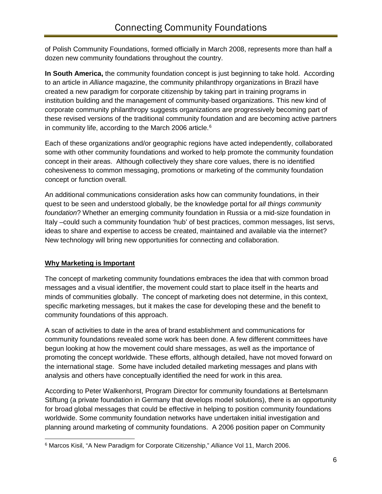of Polish Community Foundations, formed officially in March 2008, represents more than half a dozen new community foundations throughout the country.

**In South America,** the community foundation concept is just beginning to take hold. According to an article in *Alliance* magazine, the community philanthropy organizations in Brazil have created a new paradigm for corporate citizenship by taking part in training programs in institution building and the management of community-based organizations. This new kind of corporate community philanthropy suggests organizations are progressively becoming part of these revised versions of the traditional community foundation and are becoming active partners in community life, according to the March 2006 article. [6](#page-7-0)

Each of these organizations and/or geographic regions have acted independently, collaborated some with other community foundations and worked to help promote the community foundation concept in their areas. Although collectively they share core values, there is no identified cohesiveness to common messaging, promotions or marketing of the community foundation concept or function overall.

An additional communications consideration asks how can community foundations, in their quest to be seen and understood globally, be the knowledge portal for *all things community foundation*? Whether an emerging community foundation in Russia or a mid-size foundation in Italy –could such a community foundation 'hub' of best practices, common messages, list servs, ideas to share and expertise to access be created, maintained and available via the internet? New technology will bring new opportunities for connecting and collaboration.

# **Why Marketing is Important**

The concept of marketing community foundations embraces the idea that with common broad messages and a visual identifier, the movement could start to place itself in the hearts and minds of communities globally. The concept of marketing does not determine, in this context, specific marketing messages, but it makes the case for developing these and the benefit to community foundations of this approach.

A scan of activities to date in the area of brand establishment and communications for community foundations revealed some work has been done. A few different committees have begun looking at how the movement could share messages, as well as the importance of promoting the concept worldwide. These efforts, although detailed, have not moved forward on the international stage. Some have included detailed marketing messages and plans with analysis and others have conceptually identified the need for work in this area.

According to Peter Walkenhorst, Program Director for community foundations at [Bertelsmann](http://www.bertelsmann-stiftung.de/)  [Stiftung](http://www.bertelsmann-stiftung.de/) (a private foundation in Germany that develops model solutions), there is an opportunity for broad global messages that could be effective in helping to position community foundations worldwide. Some community foundation networks have undertaken initial investigation and planning around marketing of community foundations. A 2006 position paper on Community

<span id="page-7-0"></span><sup>6</sup> Marcos Kisil, "A New Paradigm for Corporate Citizenship," *Alliance* Vol 11, March 2006.  $\overline{a}$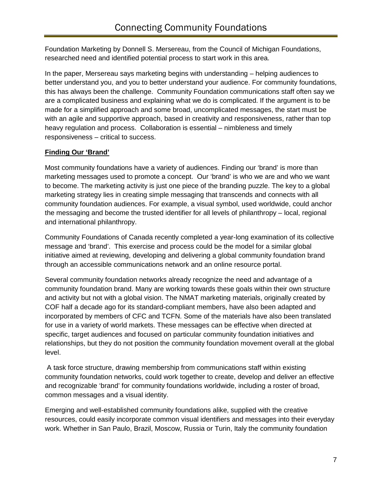Foundation Marketing by Donnell S. Mersereau, from the Council of Michigan Foundations, researched need and identified potential process to start work in this area.

In the paper, Mersereau says marketing begins with understanding – helping audiences to better understand you, and you to better understand your audience. For community foundations, this has always been the challenge. Community Foundation communications staff often say we are a complicated business and explaining what we do is complicated. If the argument is to be made for a simplified approach and some broad, uncomplicated messages, the start must be with an agile and supportive approach, based in creativity and responsiveness, rather than top heavy regulation and process. Collaboration is essential – nimbleness and timely responsiveness – critical to success.

# **Finding Our 'Brand'**

Most community foundations have a variety of audiences. Finding our 'brand' is more than marketing messages used to promote a concept. Our 'brand' is who we are and who we want to become. The marketing activity is just one piece of the branding puzzle. The key to a global marketing strategy lies in creating simple messaging that transcends and connects with all community foundation audiences. For example, a visual symbol, used worldwide, could anchor the messaging and become the trusted identifier for all levels of philanthropy – local, regional and international philanthropy.

Community Foundations of Canada recently completed a year-long examination of its collective message and 'brand'. This exercise and process could be the model for a similar global initiative aimed at reviewing, developing and delivering a global community foundation brand through an accessible communications network and an online resource portal.

Several community foundation networks already recognize the need and advantage of a community foundation brand. Many are working towards these goals within their own structure and activity but not with a global vision. The NMAT marketing materials, originally created by COF half a decade ago for its standard-compliant members, have also been adapted and incorporated by members of CFC and TCFN. Some of the materials have also been translated for use in a variety of world markets. These messages can be effective when directed at specific, target audiences and focused on particular community foundation initiatives and relationships, but they do not position the community foundation movement overall at the global level.

A task force structure, drawing membership from communications staff within existing community foundation networks, could work together to create, develop and deliver an effective and recognizable 'brand' for community foundations worldwide, including a roster of broad, common messages and a visual identity.

Emerging and well-established community foundations alike, supplied with the creative resources, could easily incorporate common visual identifiers and messages into their everyday work. Whether in San Paulo, Brazil, Moscow, Russia or Turin, Italy the community foundation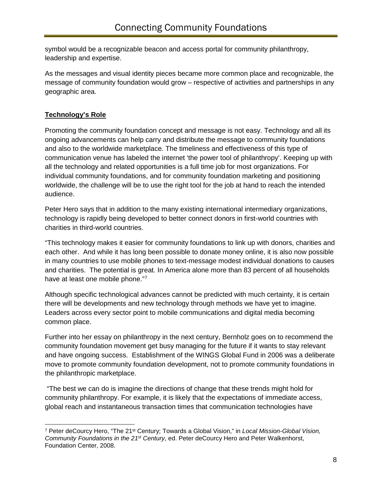symbol would be a recognizable beacon and access portal for community philanthropy, leadership and expertise.

As the messages and visual identity pieces became more common place and recognizable, the message of community foundation would grow – respective of activities and partnerships in any geographic area.

# **Technology's Role**

Promoting the community foundation concept and message is not easy. Technology and all its ongoing advancements can help carry and distribute the message to community foundations and also to the worldwide marketplace. The timeliness and effectiveness of this type of communication venue has labeled the internet 'the power tool of philanthropy'. Keeping up with all the technology and related opportunities is a full time job for most organizations. For individual community foundations, and for community foundation marketing and positioning worldwide, the challenge will be to use the right tool for the job at hand to reach the intended audience.

Peter Hero says that in addition to the many existing international intermediary organizations, technology is rapidly being developed to better connect donors in first-world countries with charities in third-world countries.

"This technology makes it easier for community foundations to link up with donors, charities and each other. And while it has long been possible to donate money online, it is also now possible in many countries to use mobile phones to text-message modest individual donations to causes and charities. The potential is great. In America alone more than 83 percent of all households have at least one mobile phone."[7](#page-9-0)

Although specific technological advances cannot be predicted with much certainty, it is certain there will be developments and new technology through methods we have yet to imagine. Leaders across every sector point to mobile communications and digital media becoming common place.

Further into her essay on philanthropy in the next century, Bernholz goes on to recommend the community foundation movement get busy managing for the future if it wants to stay relevant and have ongoing success. Establishment of the WINGS Global Fund in 2006 was a deliberate move to promote community foundation development, not to promote community foundations in the philanthropic marketplace.

"The best we can do is imagine the directions of change that these trends might hold for community philanthropy. For example, it is likely that the expectations of immediate access, global reach and instantaneous transaction times that communication technologies have

<span id="page-9-0"></span><sup>7</sup> Peter deCourcy Hero, "The 21st Century; Towards a Global Vision," in *Local Mission-Global Vision, Community Foundations in the 21st Century*, ed. Peter deCourcy Hero and Peter Walkenhorst, Foundation Center, 2008.  $\overline{a}$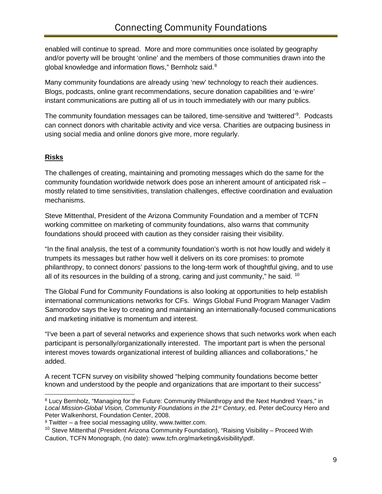enabled will continue to spread. More and more communities once isolated by geography and/or poverty will be brought 'online' and the members of those communities drawn into the global knowledge and information flows," Bernholz said.<sup>[8](#page-10-0)</sup>

Many community foundations are already using 'new' technology to reach their audiences. Blogs, podcasts, online grant recommendations, secure donation capabilities and 'e-wire' instant communications are putting all of us in touch immediately with our many publics.

The community foundation messages can be tailored, time-sensitive and 'twittered'<sup>[9](#page-10-1)</sup>. Podcasts can connect donors with charitable activity and vice versa. Charities are outpacing business in using social media and online donors give more, more regularly.

### **Risks**

The challenges of creating, maintaining and promoting messages which do the same for the community foundation worldwide network does pose an inherent amount of anticipated risk – mostly related to time sensitivities, translation challenges, effective coordination and evaluation mechanisms.

Steve Mittenthal, President of the Arizona Community Foundation and a member of TCFN working committee on marketing of community foundations, also warns that community foundations should proceed with caution as they consider raising their visibility.

"In the final analysis, the test of a community foundation's worth is not how loudly and widely it trumpets its messages but rather how well it delivers on its core promises: to promote philanthropy, to connect donors' passions to the long-term work of thoughtful giving, and to use all of its resources in the building of a strong, caring and just community," he said.  $10$ 

The Global Fund for Community Foundations is also looking at opportunities to help establish international communications networks for CFs. Wings Global Fund Program Manager Vadim Samorodov says the key to creating and maintaining an internationally-focused communications and marketing initiative is momentum and interest.

"I've been a part of several networks and experience shows that such networks work when each participant is personally/organizationally interested. The important part is when the personal interest moves towards organizational interest of building alliances and collaborations," he added.

A recent TCFN survey on visibility showed "helping community foundations become better known and understood by the people and organizations that are important to their success"

<span id="page-10-0"></span><sup>8</sup> Lucy Bernholz, "Managing for the Future: Community Philanthropy and the Next Hundred Years," in *Local Mission-Global Vision, Community Foundations in the 21st Century*, ed. Peter deCourcy Hero and Peter Walkenhorst, Foundation Center, 2008.<br><sup>9</sup> Twitter – a free social messaging utility, www.twitter.com.  $\overline{a}$ 

<span id="page-10-1"></span>

<span id="page-10-2"></span><sup>&</sup>lt;sup>10</sup> Steve Mittenthal (President Arizona Community Foundation), "Raising Visibility – Proceed With Caution, TCFN Monograph, (no date): [www.tcfn.org/marketing&visibility\pdf.](http://www.tcfn.org/marketing&visibility/pdf)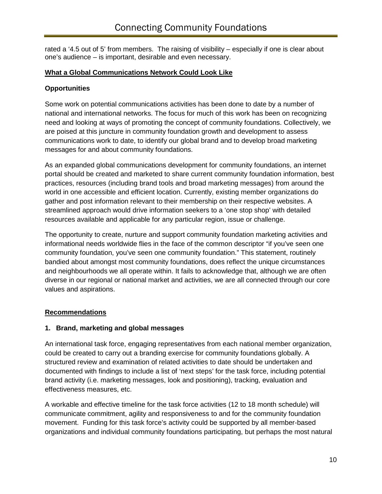rated a '4.5 out of 5' from members. The raising of visibility – especially if one is clear about one's audience – is important, desirable and even necessary.

#### **What a Global Communications Network Could Look Like**

#### **Opportunities**

Some work on potential communications activities has been done to date by a number of national and international networks. The focus for much of this work has been on recognizing need and looking at ways of promoting the concept of community foundations. Collectively, we are poised at this juncture in community foundation growth and development to assess communications work to date, to identify our global brand and to develop broad marketing messages for and about community foundations.

As an expanded global communications development for community foundations, an internet portal should be created and marketed to share current community foundation information, best practices, resources (including brand tools and broad marketing messages) from around the world in one accessible and efficient location. Currently, existing member organizations do gather and post information relevant to their membership on their respective websites. A streamlined approach would drive information seekers to a 'one stop shop' with detailed resources available and applicable for any particular region, issue or challenge.

The opportunity to create, nurture and support community foundation marketing activities and informational needs worldwide flies in the face of the common descriptor "if you've seen one community foundation, you've seen one community foundation." This statement, routinely bandied about amongst most community foundations, does reflect the unique circumstances and neighbourhoods we all operate within. It fails to acknowledge that, although we are often diverse in our regional or national market and activities, we are all connected through our core values and aspirations.

#### **Recommendations**

### **1. Brand, marketing and global messages**

An international task force, engaging representatives from each national member organization, could be created to carry out a branding exercise for community foundations globally. A structured review and examination of related activities to date should be undertaken and documented with findings to include a list of 'next steps' for the task force, including potential brand activity (i.e. marketing messages, look and positioning), tracking, evaluation and effectiveness measures, etc.

A workable and effective timeline for the task force activities (12 to 18 month schedule) will communicate commitment, agility and responsiveness to and for the community foundation movement. Funding for this task force's activity could be supported by all member-based organizations and individual community foundations participating, but perhaps the most natural